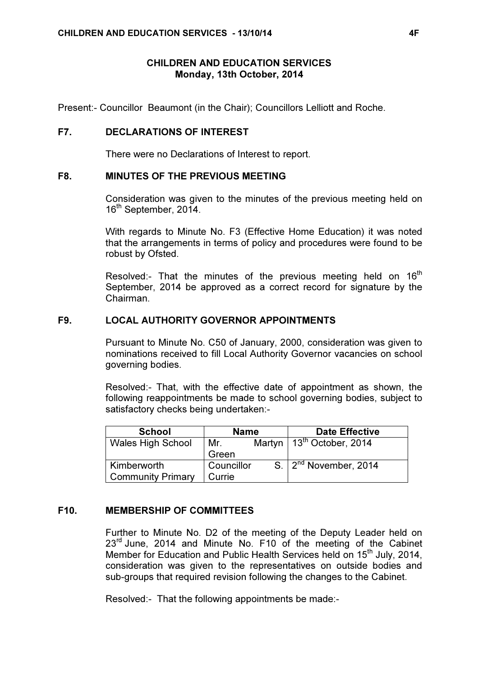# CHILDREN AND EDUCATION SERVICES Monday, 13th October, 2014

Present:- Councillor Beaumont (in the Chair); Councillors Lelliott and Roche.

## F7. DECLARATIONS OF INTEREST

There were no Declarations of Interest to report.

## F8. MINUTES OF THE PREVIOUS MEETING

 Consideration was given to the minutes of the previous meeting held on 16<sup>th</sup> September, 2014.

With regards to Minute No. F3 (Effective Home Education) it was noted that the arrangements in terms of policy and procedures were found to be robust by Ofsted.

Resolved:- That the minutes of the previous meeting held on  $16<sup>th</sup>$ September, 2014 be approved as a correct record for signature by the Chairman.

## F9. LOCAL AUTHORITY GOVERNOR APPOINTMENTS

 Pursuant to Minute No. C50 of January, 2000, consideration was given to nominations received to fill Local Authority Governor vacancies on school governing bodies.

Resolved:- That, with the effective date of appointment as shown, the following reappointments be made to school governing bodies, subject to satisfactory checks being undertaken:-

| <b>School</b>            | <b>Name</b> |  | <b>Date Effective</b>            |
|--------------------------|-------------|--|----------------------------------|
| Wales High School        | Mr.         |  | Martyn   $13^{th}$ October, 2014 |
|                          | Green       |  |                                  |
| <b>Kimberworth</b>       | Councillor  |  | S. $2^{nd}$ November, 2014       |
| <b>Community Primary</b> | Currie      |  |                                  |

# F10. MEMBERSHIP OF COMMITTEES

 Further to Minute No. D2 of the meeting of the Deputy Leader held on 23<sup>rd</sup> June, 2014 and Minute No. F10 of the meeting of the Cabinet Member for Education and Public Health Services held on 15<sup>th</sup> July, 2014, consideration was given to the representatives on outside bodies and sub-groups that required revision following the changes to the Cabinet.

Resolved:- That the following appointments be made:-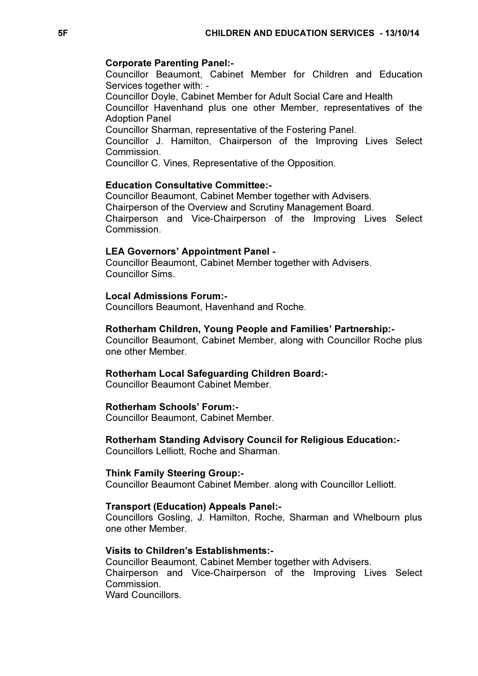### Corporate Parenting Panel:-

Councillor Beaumont, Cabinet Member for Children and Education Services together with: -

Councillor Doyle, Cabinet Member for Adult Social Care and Health

Councillor Havenhand plus one other Member, representatives of the Adoption Panel

Councillor Sharman, representative of the Fostering Panel.

Councillor J. Hamilton, Chairperson of the Improving Lives Select Commission.

Councillor C. Vines, Representative of the Opposition.

## Education Consultative Committee:-

Councillor Beaumont, Cabinet Member together with Advisers. Chairperson of the Overview and Scrutiny Management Board. Chairperson and Vice-Chairperson of the Improving Lives Select Commission.

## LEA Governors' Appointment Panel -

Councillor Beaumont, Cabinet Member together with Advisers. Councillor Sims.

## Local Admissions Forum:-

Councillors Beaumont, Havenhand and Roche.

### Rotherham Children, Young People and Families' Partnership:-

Councillor Beaumont, Cabinet Member, along with Councillor Roche plus one other Member.

## Rotherham Local Safeguarding Children Board:-

Councillor Beaumont Cabinet Member.

## Rotherham Schools' Forum:-

Councillor Beaumont, Cabinet Member.

## Rotherham Standing Advisory Council for Religious Education:-

Councillors Lelliott, Roche and Sharman.

#### Think Family Steering Group:-

Councillor Beaumont Cabinet Member. along with Councillor Lelliott.

#### Transport (Education) Appeals Panel:-

Councillors Gosling, J. Hamilton, Roche, Sharman and Whelbourn plus one other Member.

## Visits to Children's Establishments:-

Councillor Beaumont, Cabinet Member together with Advisers. Chairperson and Vice-Chairperson of the Improving Lives Select Commission. Ward Councillors.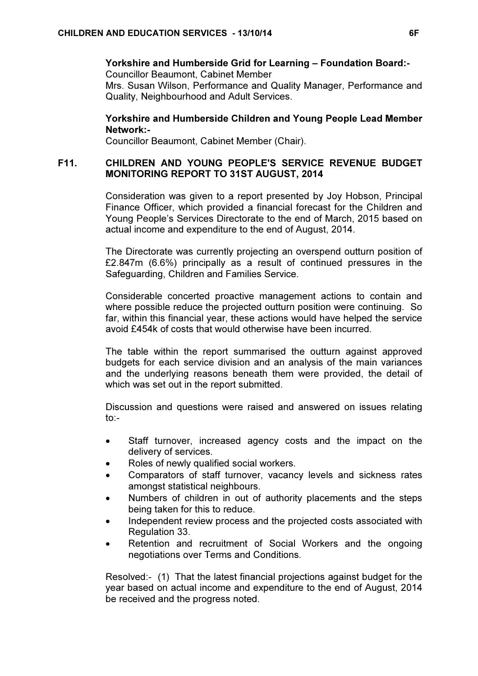### Yorkshire and Humberside Grid for Learning – Foundation Board:- Councillor Beaumont, Cabinet Member

Mrs. Susan Wilson, Performance and Quality Manager, Performance and Quality, Neighbourhood and Adult Services.

# Yorkshire and Humberside Children and Young People Lead Member Network:-

Councillor Beaumont, Cabinet Member (Chair).

# F11. CHILDREN AND YOUNG PEOPLE'S SERVICE REVENUE BUDGET MONITORING REPORT TO 31ST AUGUST, 2014

 Consideration was given to a report presented by Joy Hobson, Principal Finance Officer, which provided a financial forecast for the Children and Young People's Services Directorate to the end of March, 2015 based on actual income and expenditure to the end of August, 2014.

The Directorate was currently projecting an overspend outturn position of £2.847m (6.6%) principally as a result of continued pressures in the Safeguarding, Children and Families Service.

Considerable concerted proactive management actions to contain and where possible reduce the projected outturn position were continuing. So far, within this financial year, these actions would have helped the service avoid £454k of costs that would otherwise have been incurred.

The table within the report summarised the outturn against approved budgets for each service division and an analysis of the main variances and the underlying reasons beneath them were provided, the detail of which was set out in the report submitted.

Discussion and questions were raised and answered on issues relating to:-

- Staff turnover, increased agency costs and the impact on the delivery of services.
- Roles of newly qualified social workers.
- Comparators of staff turnover, vacancy levels and sickness rates amongst statistical neighbours.
- Numbers of children in out of authority placements and the steps being taken for this to reduce.
- Independent review process and the projected costs associated with Regulation 33.
- Retention and recruitment of Social Workers and the ongoing negotiations over Terms and Conditions.

Resolved:- (1) That the latest financial projections against budget for the year based on actual income and expenditure to the end of August, 2014 be received and the progress noted.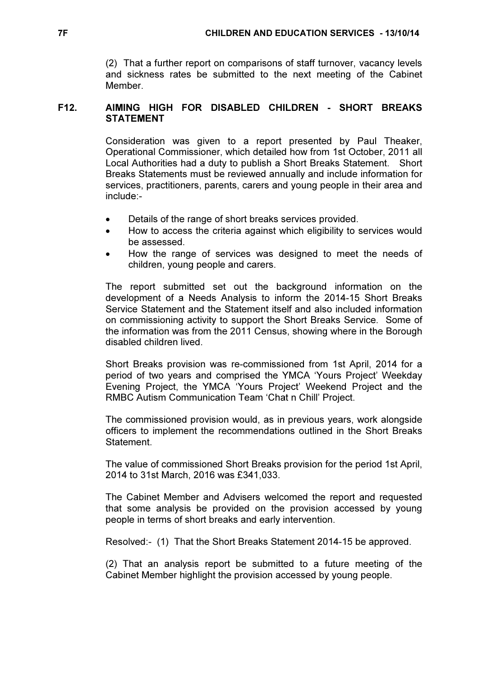(2) That a further report on comparisons of staff turnover, vacancy levels and sickness rates be submitted to the next meeting of the Cabinet Member.

# F12. AIMING HIGH FOR DISABLED CHILDREN - SHORT BREAKS STATEMENT

 Consideration was given to a report presented by Paul Theaker, Operational Commissioner, which detailed how from 1st October, 2011 all Local Authorities had a duty to publish a Short Breaks Statement. Short Breaks Statements must be reviewed annually and include information for services, practitioners, parents, carers and young people in their area and include:-

- Details of the range of short breaks services provided.
- How to access the criteria against which eligibility to services would be assessed.
- How the range of services was designed to meet the needs of children, young people and carers.

The report submitted set out the background information on the development of a Needs Analysis to inform the 2014-15 Short Breaks Service Statement and the Statement itself and also included information on commissioning activity to support the Short Breaks Service. Some of the information was from the 2011 Census, showing where in the Borough disabled children lived.

Short Breaks provision was re-commissioned from 1st April, 2014 for a period of two years and comprised the YMCA 'Yours Project' Weekday Evening Project, the YMCA 'Yours Project' Weekend Project and the RMBC Autism Communication Team 'Chat n Chill' Project.

The commissioned provision would, as in previous years, work alongside officers to implement the recommendations outlined in the Short Breaks Statement.

The value of commissioned Short Breaks provision for the period 1st April, 2014 to 31st March, 2016 was £341,033.

The Cabinet Member and Advisers welcomed the report and requested that some analysis be provided on the provision accessed by young people in terms of short breaks and early intervention.

Resolved:- (1) That the Short Breaks Statement 2014-15 be approved.

(2) That an analysis report be submitted to a future meeting of the Cabinet Member highlight the provision accessed by young people.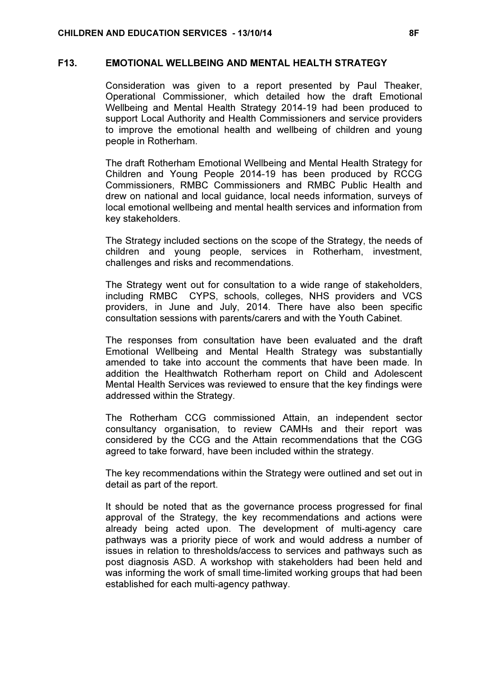# F13. EMOTIONAL WELLBEING AND MENTAL HEALTH STRATEGY

 Consideration was given to a report presented by Paul Theaker, Operational Commissioner, which detailed how the draft Emotional Wellbeing and Mental Health Strategy 2014-19 had been produced to support Local Authority and Health Commissioners and service providers to improve the emotional health and wellbeing of children and young people in Rotherham.

The draft Rotherham Emotional Wellbeing and Mental Health Strategy for Children and Young People 2014-19 has been produced by RCCG Commissioners, RMBC Commissioners and RMBC Public Health and drew on national and local guidance, local needs information, surveys of local emotional wellbeing and mental health services and information from key stakeholders.

The Strategy included sections on the scope of the Strategy, the needs of children and young people, services in Rotherham, investment, challenges and risks and recommendations.

The Strategy went out for consultation to a wide range of stakeholders, including RMBC CYPS, schools, colleges, NHS providers and VCS providers, in June and July, 2014. There have also been specific consultation sessions with parents/carers and with the Youth Cabinet.

The responses from consultation have been evaluated and the draft Emotional Wellbeing and Mental Health Strategy was substantially amended to take into account the comments that have been made. In addition the Healthwatch Rotherham report on Child and Adolescent Mental Health Services was reviewed to ensure that the key findings were addressed within the Strategy.

The Rotherham CCG commissioned Attain, an independent sector consultancy organisation, to review CAMHs and their report was considered by the CCG and the Attain recommendations that the CGG agreed to take forward, have been included within the strategy.

The key recommendations within the Strategy were outlined and set out in detail as part of the report.

It should be noted that as the governance process progressed for final approval of the Strategy, the key recommendations and actions were already being acted upon. The development of multi-agency care pathways was a priority piece of work and would address a number of issues in relation to thresholds/access to services and pathways such as post diagnosis ASD. A workshop with stakeholders had been held and was informing the work of small time-limited working groups that had been established for each multi-agency pathway.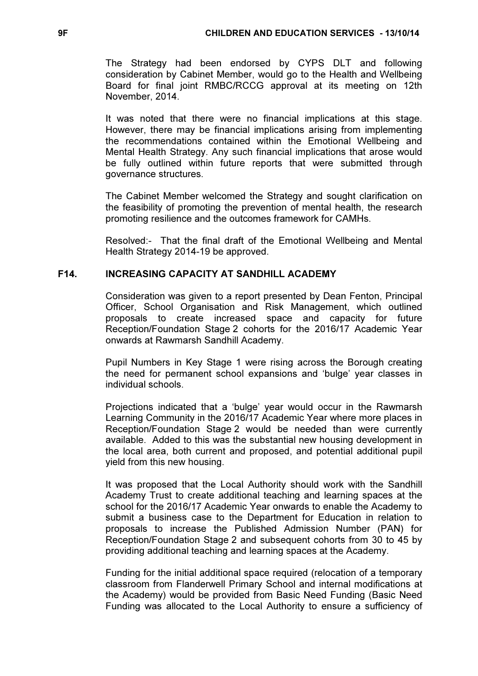The Strategy had been endorsed by CYPS DLT and following consideration by Cabinet Member, would go to the Health and Wellbeing Board for final joint RMBC/RCCG approval at its meeting on 12th November, 2014.

It was noted that there were no financial implications at this stage. However, there may be financial implications arising from implementing the recommendations contained within the Emotional Wellbeing and Mental Health Strategy. Any such financial implications that arose would be fully outlined within future reports that were submitted through governance structures.

The Cabinet Member welcomed the Strategy and sought clarification on the feasibility of promoting the prevention of mental health, the research promoting resilience and the outcomes framework for CAMHs.

Resolved:- That the final draft of the Emotional Wellbeing and Mental Health Strategy 2014-19 be approved.

# F14. INCREASING CAPACITY AT SANDHILL ACADEMY

 Consideration was given to a report presented by Dean Fenton, Principal Officer, School Organisation and Risk Management, which outlined proposals to create increased space and capacity for future Reception/Foundation Stage 2 cohorts for the 2016/17 Academic Year onwards at Rawmarsh Sandhill Academy.

Pupil Numbers in Key Stage 1 were rising across the Borough creating the need for permanent school expansions and 'bulge' year classes in individual schools.

Projections indicated that a 'bulge' year would occur in the Rawmarsh Learning Community in the 2016/17 Academic Year where more places in Reception/Foundation Stage 2 would be needed than were currently available. Added to this was the substantial new housing development in the local area, both current and proposed, and potential additional pupil yield from this new housing.

It was proposed that the Local Authority should work with the Sandhill Academy Trust to create additional teaching and learning spaces at the school for the 2016/17 Academic Year onwards to enable the Academy to submit a business case to the Department for Education in relation to proposals to increase the Published Admission Number (PAN) for Reception/Foundation Stage 2 and subsequent cohorts from 30 to 45 by providing additional teaching and learning spaces at the Academy.

Funding for the initial additional space required (relocation of a temporary classroom from Flanderwell Primary School and internal modifications at the Academy) would be provided from Basic Need Funding (Basic Need Funding was allocated to the Local Authority to ensure a sufficiency of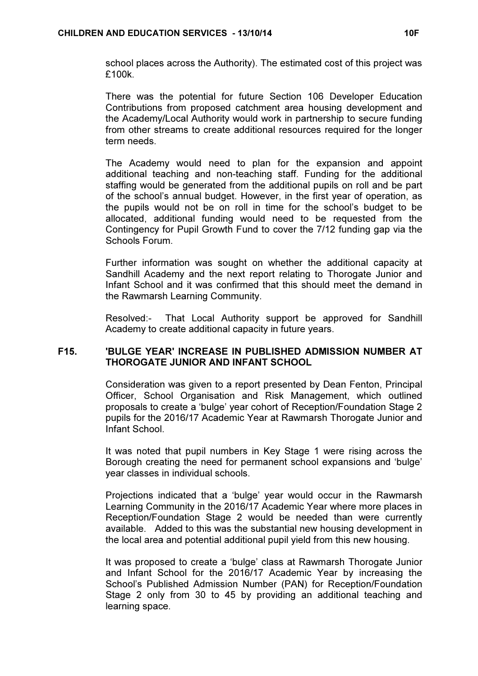school places across the Authority). The estimated cost of this project was £100k.

There was the potential for future Section 106 Developer Education Contributions from proposed catchment area housing development and the Academy/Local Authority would work in partnership to secure funding from other streams to create additional resources required for the longer term needs.

The Academy would need to plan for the expansion and appoint additional teaching and non-teaching staff. Funding for the additional staffing would be generated from the additional pupils on roll and be part of the school's annual budget. However, in the first year of operation, as the pupils would not be on roll in time for the school's budget to be allocated, additional funding would need to be requested from the Contingency for Pupil Growth Fund to cover the 7/12 funding gap via the Schools Forum.

Further information was sought on whether the additional capacity at Sandhill Academy and the next report relating to Thorogate Junior and Infant School and it was confirmed that this should meet the demand in the Rawmarsh Learning Community.

Resolved:- That Local Authority support be approved for Sandhill Academy to create additional capacity in future years.

# F15. 'BULGE YEAR' INCREASE IN PUBLISHED ADMISSION NUMBER AT THOROGATE JUNIOR AND INFANT SCHOOL

 Consideration was given to a report presented by Dean Fenton, Principal Officer, School Organisation and Risk Management, which outlined proposals to create a 'bulge' year cohort of Reception/Foundation Stage 2 pupils for the 2016/17 Academic Year at Rawmarsh Thorogate Junior and Infant School.

It was noted that pupil numbers in Key Stage 1 were rising across the Borough creating the need for permanent school expansions and 'bulge' year classes in individual schools.

Projections indicated that a 'bulge' year would occur in the Rawmarsh Learning Community in the 2016/17 Academic Year where more places in Reception/Foundation Stage 2 would be needed than were currently available. Added to this was the substantial new housing development in the local area and potential additional pupil yield from this new housing.

It was proposed to create a 'bulge' class at Rawmarsh Thorogate Junior and Infant School for the 2016/17 Academic Year by increasing the School's Published Admission Number (PAN) for Reception/Foundation Stage 2 only from 30 to 45 by providing an additional teaching and learning space.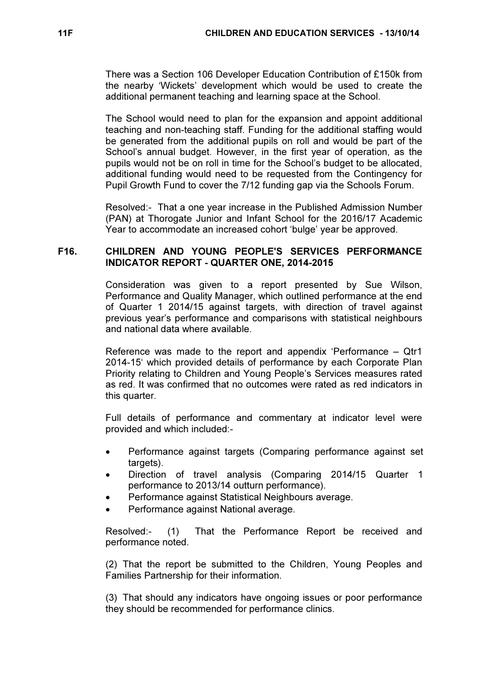There was a Section 106 Developer Education Contribution of £150k from the nearby 'Wickets' development which would be used to create the additional permanent teaching and learning space at the School.

The School would need to plan for the expansion and appoint additional teaching and non-teaching staff. Funding for the additional staffing would be generated from the additional pupils on roll and would be part of the School's annual budget. However, in the first year of operation, as the pupils would not be on roll in time for the School's budget to be allocated, additional funding would need to be requested from the Contingency for Pupil Growth Fund to cover the 7/12 funding gap via the Schools Forum.

Resolved:- That a one year increase in the Published Admission Number (PAN) at Thorogate Junior and Infant School for the 2016/17 Academic Year to accommodate an increased cohort 'bulge' year be approved.

# F16. CHILDREN AND YOUNG PEOPLE'S SERVICES PERFORMANCE INDICATOR REPORT - QUARTER ONE, 2014-2015

 Consideration was given to a report presented by Sue Wilson, Performance and Quality Manager, which outlined performance at the end of Quarter 1 2014/15 against targets, with direction of travel against previous year's performance and comparisons with statistical neighbours and national data where available.

Reference was made to the report and appendix 'Performance – Qtr1 2014-15' which provided details of performance by each Corporate Plan Priority relating to Children and Young People's Services measures rated as red. It was confirmed that no outcomes were rated as red indicators in this quarter.

Full details of performance and commentary at indicator level were provided and which included:-

- Performance against targets (Comparing performance against set targets).
- Direction of travel analysis (Comparing 2014/15 Quarter 1 performance to 2013/14 outturn performance).
- Performance against Statistical Neighbours average.
- Performance against National average.

Resolved:- (1) That the Performance Report be received and performance noted.

(2) That the report be submitted to the Children, Young Peoples and Families Partnership for their information.

(3) That should any indicators have ongoing issues or poor performance they should be recommended for performance clinics.